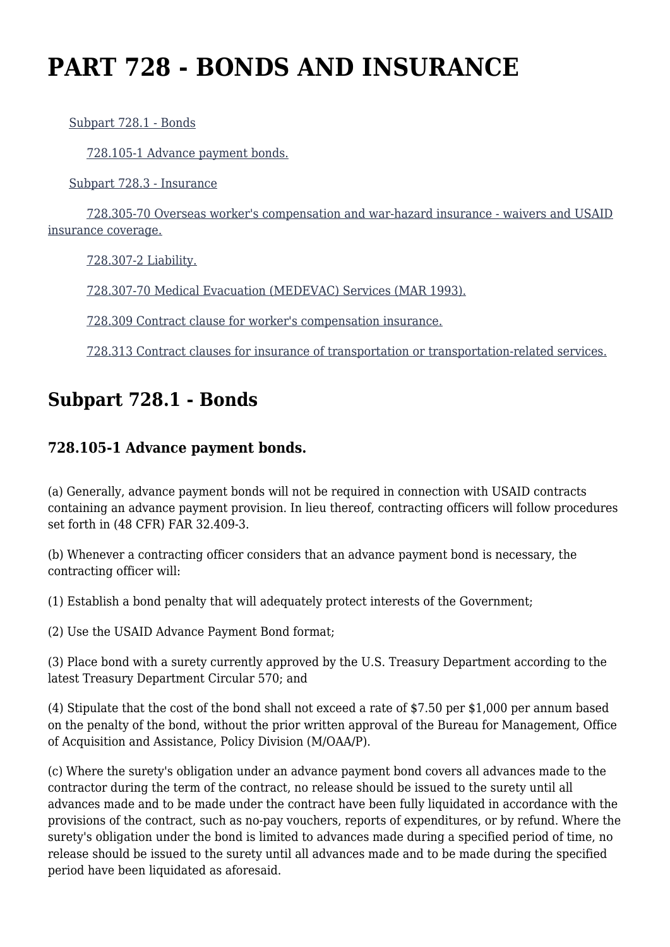# **PART 728 - BONDS AND INSURANCE**

[Subpart 728.1 - Bonds](https://origin-www.acquisition.gov/%5Brp:link:aidar-part-728%5D#Subpart_728_1_T48_5015221)

[728.105-1 Advance payment bonds.](https://origin-www.acquisition.gov/%5Brp:link:aidar-part-728%5D#Section_728_105_1_T48_501522111)

[Subpart 728.3 - Insurance](https://origin-www.acquisition.gov/%5Brp:link:aidar-part-728%5D#Subpart_728_3_T48_5015222)

 [728.305-70 Overseas worker's compensation and war-hazard insurance - waivers and USAID](https://origin-www.acquisition.gov/%5Brp:link:aidar-part-728%5D#Section_728_305_70_T48_501522211) [insurance coverage.](https://origin-www.acquisition.gov/%5Brp:link:aidar-part-728%5D#Section_728_305_70_T48_501522211)

[728.307-2 Liability.](https://origin-www.acquisition.gov/%5Brp:link:aidar-part-728%5D#Section_728_307_2_T48_501522212)

[728.307-70 Medical Evacuation \(MEDEVAC\) Services \(MAR 1993\).](https://origin-www.acquisition.gov/%5Brp:link:aidar-part-728%5D#Section_728_307_70_T48_501522213)

[728.309 Contract clause for worker's compensation insurance.](https://origin-www.acquisition.gov/%5Brp:link:aidar-part-728%5D#Section_728_309_T48_501522214)

[728.313 Contract clauses for insurance of transportation or transportation-related services.](https://origin-www.acquisition.gov/%5Brp:link:aidar-part-728%5D#Section_728_313_T48_501522215)

## **Subpart 728.1 - Bonds**

### **728.105-1 Advance payment bonds.**

(a) Generally, advance payment bonds will not be required in connection with USAID contracts containing an advance payment provision. In lieu thereof, contracting officers will follow procedures set forth in (48 CFR) FAR 32.409-3.

(b) Whenever a contracting officer considers that an advance payment bond is necessary, the contracting officer will:

(1) Establish a bond penalty that will adequately protect interests of the Government;

(2) Use the USAID Advance Payment Bond format;

(3) Place bond with a surety currently approved by the U.S. Treasury Department according to the latest Treasury Department Circular 570; and

(4) Stipulate that the cost of the bond shall not exceed a rate of \$7.50 per \$1,000 per annum based on the penalty of the bond, without the prior written approval of the Bureau for Management, Office of Acquisition and Assistance, Policy Division (M/OAA/P).

(c) Where the surety's obligation under an advance payment bond covers all advances made to the contractor during the term of the contract, no release should be issued to the surety until all advances made and to be made under the contract have been fully liquidated in accordance with the provisions of the contract, such as no-pay vouchers, reports of expenditures, or by refund. Where the surety's obligation under the bond is limited to advances made during a specified period of time, no release should be issued to the surety until all advances made and to be made during the specified period have been liquidated as aforesaid.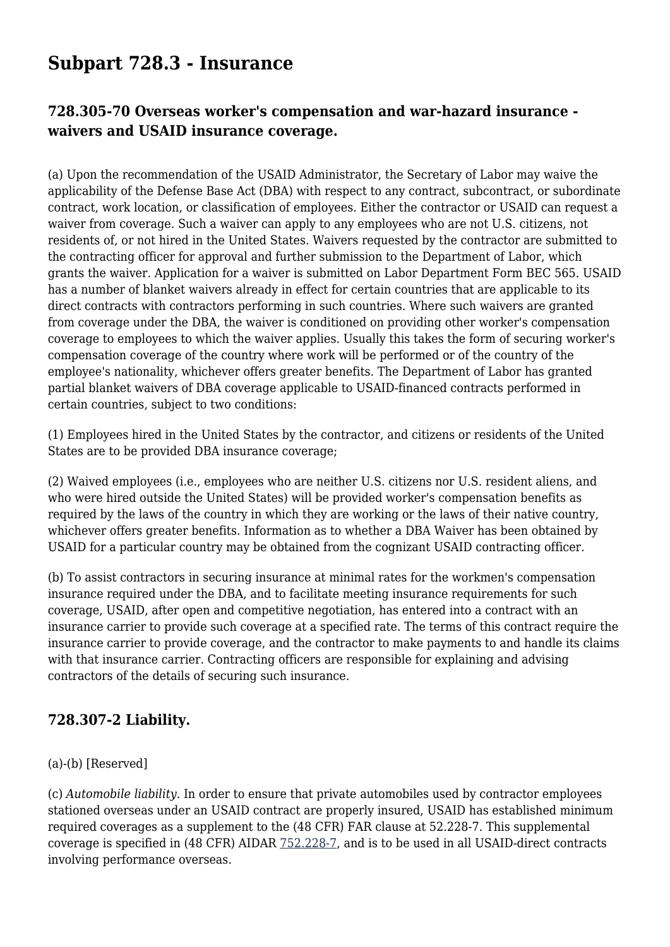## **Subpart 728.3 - Insurance**

### **728.305-70 Overseas worker's compensation and war-hazard insurance waivers and USAID insurance coverage.**

(a) Upon the recommendation of the USAID Administrator, the Secretary of Labor may waive the applicability of the Defense Base Act (DBA) with respect to any contract, subcontract, or subordinate contract, work location, or classification of employees. Either the contractor or USAID can request a waiver from coverage. Such a waiver can apply to any employees who are not U.S. citizens, not residents of, or not hired in the United States. Waivers requested by the contractor are submitted to the contracting officer for approval and further submission to the Department of Labor, which grants the waiver. Application for a waiver is submitted on Labor Department Form BEC 565. USAID has a number of blanket waivers already in effect for certain countries that are applicable to its direct contracts with contractors performing in such countries. Where such waivers are granted from coverage under the DBA, the waiver is conditioned on providing other worker's compensation coverage to employees to which the waiver applies. Usually this takes the form of securing worker's compensation coverage of the country where work will be performed or of the country of the employee's nationality, whichever offers greater benefits. The Department of Labor has granted partial blanket waivers of DBA coverage applicable to USAID-financed contracts performed in certain countries, subject to two conditions:

(1) Employees hired in the United States by the contractor, and citizens or residents of the United States are to be provided DBA insurance coverage;

(2) Waived employees (i.e., employees who are neither U.S. citizens nor U.S. resident aliens, and who were hired outside the United States) will be provided worker's compensation benefits as required by the laws of the country in which they are working or the laws of their native country, whichever offers greater benefits. Information as to whether a DBA Waiver has been obtained by USAID for a particular country may be obtained from the cognizant USAID contracting officer.

(b) To assist contractors in securing insurance at minimal rates for the workmen's compensation insurance required under the DBA, and to facilitate meeting insurance requirements for such coverage, USAID, after open and competitive negotiation, has entered into a contract with an insurance carrier to provide such coverage at a specified rate. The terms of this contract require the insurance carrier to provide coverage, and the contractor to make payments to and handle its claims with that insurance carrier. Contracting officers are responsible for explaining and advising contractors of the details of securing such insurance.

#### **728.307-2 Liability.**

#### (a)-(b) [Reserved]

(c) *Automobile liability.* In order to ensure that private automobiles used by contractor employees stationed overseas under an USAID contract are properly insured, USAID has established minimum required coverages as a supplement to the (48 CFR) FAR clause at 52.228-7. This supplemental coverage is specified in (48 CFR) AIDAR [752.228-7](https://origin-www.acquisition.gov/%5Brp:link:aidar-part-752%5D#Section_752_228_7_T48_5018362122), and is to be used in all USAID-direct contracts involving performance overseas.